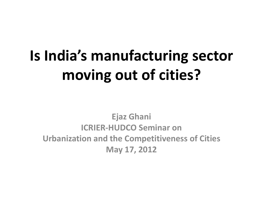# **Is India's manufacturing sector moving out of cities?**

**Ejaz Ghani ICRIER-HUDCO Seminar on Urbanization and the Competitiveness of Cities May 17, 2012**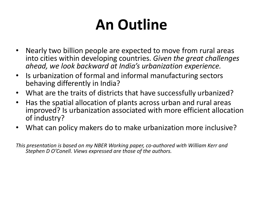# **An Outline**

- Nearly two billion people are expected to move from rural areas into cities within developing countries. *Given the great challenges ahead, we look backward at India's urbanization experience.*
- Is urbanization of formal and informal manufacturing sectors behaving differently in India?
- What are the traits of districts that have successfully urbanized?
- Has the spatial allocation of plants across urban and rural areas improved? Is urbanization associated with more efficient allocation of industry?
- What can policy makers do to make urbanization more inclusive?

*This presentation is based on my NBER Working paper, co-authored with William Kerr and Stephen D O'Conell. Views expressed are those of the authors.*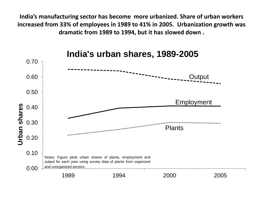**India's manufacturing sector has become more urbanized. Share of urban workers increased from 33% of employees in 1989 to 41% in 2005. Urbanization growth was dramatic from 1989 to 1994, but it has slowed down .**

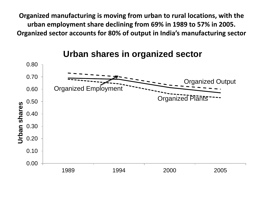**Organized manufacturing is moving from urban to rural locations, with the urban employment share declining from 69% in 1989 to 57% in 2005. Organized sector accounts for 80% of output in India's manufacturing sector**

**Urban shares in organized sector** 

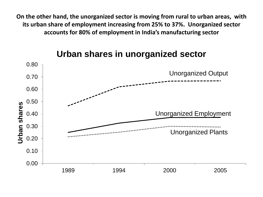**On the other hand, the unorganized sector is moving from rural to urban areas, with its urban share of employment increasing from 25% to 37%. Unorganized sector accounts for 80% of employment in India's manufacturing sector**



#### **Urban shares in unorganized sector**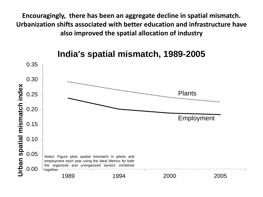**Encouragingly, there has been an aggregate decline in spatial mismatch. Urbanization shifts associated with better education and infrastructure have also improved the spatial allocation of industry**



#### **India's spatial mismatch, 1989-2005**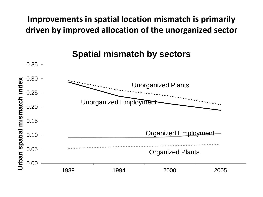#### **Improvements in spatial location mismatch is primarily driven by improved allocation of the unorganized sector**

**Spatial mismatch by sectors** 

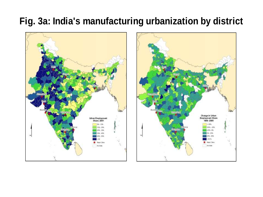### **Fig. 3a: India's manufacturing urbanization by district**



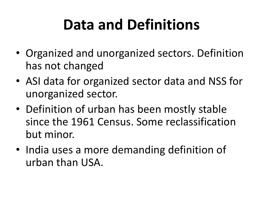# **Data and Definitions**

- Organized and unorganized sectors. Definition has not changed
- ASI data for organized sector data and NSS for unorganized sector.
- Definition of urban has been mostly stable since the 1961 Census. Some reclassification but minor.
- India uses a more demanding definition of urban than USA.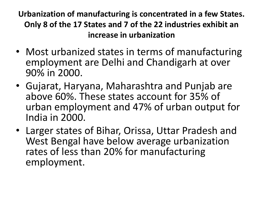**Urbanization of manufacturing is concentrated in a few States. Only 8 of the 17 States and 7 of the 22 industries exhibit an increase in urbanization**

- Most urbanized states in terms of manufacturing employment are Delhi and Chandigarh at over 90% in 2000.
- Gujarat, Haryana, Maharashtra and Punjab are above 60%. These states account for 35% of urban employment and 47% of urban output for India in 2000.
- Larger states of Bihar, Orissa, Uttar Pradesh and West Bengal have below average urbanization rates of less than 20% for manufacturing employment.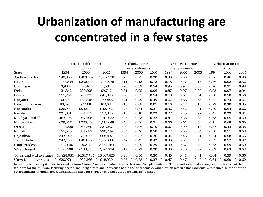## **Urbanization of manufacturing are concentrated in a few states**

|                         | Total establishment |            |            |      | <b>Urbanization</b> rate |      |      | Urbanization rate |           |           | Urbanization rate |      |  |
|-------------------------|---------------------|------------|------------|------|--------------------------|------|------|-------------------|-----------|-----------|-------------------|------|--|
|                         |                     | counts     |            |      | establishments           |      |      | employment        |           |           | output            |      |  |
| <b>State</b>            | 1994                | 2000       | 2005       | 1994 | 2000                     | 2005 | 1994 | 2000              | 2005      | 1994      | 2000              | 2005 |  |
| Andhra Pradesh          | 748,360             | 1,469,307  | 1,437,720  | 0.25 | 0.27                     | 0.30 | 0.40 | 0.38              | 0.38      | 0.56      | 0.46              | 0.43 |  |
| Bihar                   | 1,053,839           | 1,250,688  | 1,307,078  | 0.11 | 0.13                     | 0.12 | 0.18 | 0.17              | 0.16      | 0.56      | 0.52              | 0.56 |  |
| Chandigarh              | 3,906               | 6,046      | 1,534      | 0.93 | 0.89                     | 0.54 | 0.95 | 0.94              | 0.85      | 0.96      | 0.97              | 0.98 |  |
| Delhi                   | 131,842             | 230,598    | 99,712     | 0.81 | 0.95                     | 0.96 | 0.87 | 0.97              | 0.97      | 0.98      | 0.97              | 0.94 |  |
| Gujarat                 | 551,254             | 545,122    | 647,845    | 0.63 | 0.55                     | 0.54 | 0.70 | 0.62              | 0.61      | 0.68      | 0.58              | 0.56 |  |
| Haryana                 | 90,898              | 189,548    | 227,445    | 0.41 | 0.49                     | 0.49 | 0.62 | 0.66              | 0.65      | 0.71      | 0.74              | 0.67 |  |
| Himachal Pradesh        | 80,096              | 94,708     | 102,682    | 0.10 | 0.08                     | 0.07 | 0.16 | 0.17              | 0.18      | 0.29      | 0.30              | 0.35 |  |
| Karnataka               | 526,997             | 1,032,334  | 942,142    | 0.25 | 0.34                     | 0.31 | 0.36 | 0.42              | 0.41      | 0.70      | 0.64              | 0.66 |  |
| Kerala                  | 237,391             | 481,157    | 572,320    | 0.18 | 0.18                     | 0.23 | 0.27 | 0.23              | 0.27      | 0.41      | 0.39              | 0.41 |  |
| Madhya Pradesh          | 463,195             | 957,108    | 1,019,022  | 0.25 | 0.28                     | 0.32 | 0.41 | 0.36              | 0.38      | 0.68      | 0.55              | 0.60 |  |
| Maharashtra             | 629,357             | 1,223,468  | 1,116,648  | 0.50 | 0.46                     | 0.51 | 0.66 | 0.61              | 0.64      | 0.71      | 0.68              | 0.60 |  |
| Orissa                  | 1,078,820           | 955,560    | 831,287    | 0.04 | 0.06                     | 0.10 | 0.07 | 0.09              | 0.13      | 0.37      | 0.43              | 0.38 |  |
| Punjab                  | 151,520             | 331,683    | 290,789    | 0.54 | 0.46                     | 0.50 | 0.72 | 0.65              | 0.64      | 0.80      | 0.71              | 0.68 |  |
| Rajasthan               | 343,140             | 599,027    | 608,407    | 0.32 | 0.37                     | 0.36 | 0.44 | 0.46              | 0.51      | 0.64      | 0.58              | 0.65 |  |
| Tamil Nadu              | 943,138             | 1,463,466  | 1,465,806  | 0.42 | 0.45                     | 0.42 | 0.49 | 0.51              | 0.48      | 0.57      | 0.52              | 0.47 |  |
| <b>Uttar Pradesh</b>    | 1,894,046           | 2,302,322  | 2,257,163  | 0.24 | 0.29                     | 0.29 | 0.30 | 0.37              | 0.39      | 0.53      | 0.59              | 0.59 |  |
| West Bengal             | 1,628,708           | 2,733,376  | 2,694,214  | 0.17 | 0.23                     | 0.20 | 0.30 | 0.30              | 0.29      | 0.69      | 0.63              | 0.63 |  |
| Totals and wtd averages | 10,928,081          | 16,517,785 | 16,307,628 | 0.26 | 0.30                     | 0.30 | 0.40 | 0.41              | 0.41      | 0.64      | 0.59              | 0.56 |  |
| Unweighted averages     | F.<br>620,971       | 933,266    | 918,930    | 0.36 | г<br>0.38                | 0.37 | 0.47 | ┏<br>0.47         | г<br>0.47 | π<br>0.64 | F<br>0.60         | 0.60 |  |

Notes: Indian descriptive statistics taken from Annual Survey of Industries and National Sample Statistics. Totals and weighted averages at the bottom of the table are for the full manufacturing sector, including states and industries not in the final sample. Urbanization rate in establishments is measured as the share of establishments in urban areas. Urbanization rates for employment and output are similarly defined.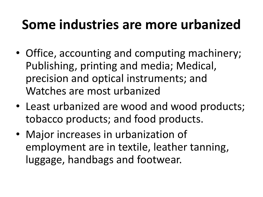## **Some industries are more urbanized**

- Office, accounting and computing machinery; Publishing, printing and media; Medical, precision and optical instruments; and Watches are most urbanized
- Least urbanized are wood and wood products; tobacco products; and food products.
- Major increases in urbanization of employment are in textile, leather tanning, luggage, handbags and footwear.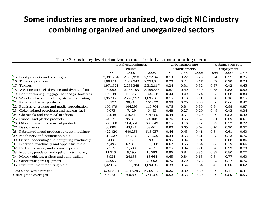#### **Some industries are more urbanized, two digit NIC industry combining organized and unorganized sectors**

|    |                                                 |            | Total establishment |            |      | <b>Urbanization</b> rate |      |      | Urbanization rate |      |  |
|----|-------------------------------------------------|------------|---------------------|------------|------|--------------------------|------|------|-------------------|------|--|
|    |                                                 |            | counts              |            |      | establishments           |      |      | employment        |      |  |
|    |                                                 | 1994       | 2000                | 2005       | 1994 | 2000                     | 2005 | 1994 | 2000              | 2005 |  |
|    | 15 Food products and beverages                  | 2,391,234  | 2,962,970           | 2,572,043  | 0.19 | 0.22                     | 0.20 | 0.24 | 0.27              | 0.25 |  |
|    | 16 Tobacco products                             | 1,004,510  | 2,062,543           | 2,753,644  | 0.20 | 0.22                     | 0.17 | 0.32 | 0.28              | 0.24 |  |
| 17 | Textiles                                        | 1,971,821  | 2,239,348           | 2,312,117  | 0.24 | 0.31                     | 0.32 | 0.37 | 0.42              | 0.45 |  |
| 18 | Wearing apparel; dressing and dyeing of fur     | 90,952     | 2,785,199           | 3,158,538  | 0.67 | 0.40                     | 0.40 | 0.85 | 0.52              | 0.52 |  |
|    | 19 Leather tanning; luggage, handbags, footwear | 190,786    | 171,759             | 144,328    | 0.44 | 0.49                     | 0.74 | 0.63 | 0.68              | 0.80 |  |
|    | 20 Wood and wood products; straw and plating    | 1,957,120  | 2,720,752           | 1,895,690  | 0.15 | 0.13                     | 0.11 | 0.20 | 0.16              | 0.15 |  |
| 21 | Paper and paper products                        | 63,172     | 90,214              | 165,652    | 0.59 | 0.70                     | 0.38 | 0.60 | 0.66              | 0.47 |  |
| 22 | Publishing, printing and media reproduction     | 105,479    | 144,293             | 116,764    | 0.76 | 0.84                     | 0.86 | 0.84 | 0.88              | 0.87 |  |
| 23 | Coke, refined petroleum and nuclear fuel        | 5,075      | 7,429               | 6,435      | 0.48 | 0.27                     | 0.20 | 0.48 | 0.43              | 0.34 |  |
| 24 | Chemicals and chemical products                 | 98,048     | 216,410             | 401,055    | 0.44 | 0.51                     | 0.29 | 0.60 | 0.53              | 0.42 |  |
| 25 | Rubber and plastic products                     | 74,771     | 95,352              | 74,108     | 0.76 | 0.65                     | 0.67 | 0.81 | 0.69              | 0.61 |  |
|    | 26 Other non-metallic mineral products          | 686,560    | 784,551             | 606,049    | 0.15 | 0.16                     | 0.17 | 0.22 | 0.22              | 0.22 |  |
| 27 | Basic metals                                    | 38,086     | 43,127              | 39,461     | 0.80 | 0.65                     | 0.62 | 0.74 | 0.70              | 0.57 |  |
| 28 | Fabricated metal products, except machinery     | 422,420    | 640,256             | 616,937    | 0.44 | 0.43                     | 0.41 | 0.64 | 0.61              | 0.60 |  |
|    | 29 Machinery and equipment, n.e.c.              | 319,227    | 171,138             | 178,220    | 0.33 | 0.53                     | 0.61 | 0.63 | 0.73              | 0.76 |  |
| 30 | Office, accounting and computing machinery      | 498        | 303                 | 931        | 0.95 | 0.94                     | 0.91 | 0.77 | 0.88              | 0.86 |  |
|    | 31 Electrical machinery and apparatus, n.e.c.   | 29,495     | 67,896              | 112,788    | 0.67 | 0.66                     | 0.54 | 0.83 | 0.79              | 0.66 |  |
|    | 32 Radio, television, and comm. equipment       | 7,355      | 7,589               | 5,863      | 0.75 | 0.84                     | 0.71 | 0.76 | 0.79              | 0.70 |  |
|    | 33 Medical, precision and optical instruments,  | 11,715     | 9,190               | 10,283     | 0.96 | 0.82                     | 0.85 | 0.82 | 0.80              | 0.77 |  |
|    | 34 Motor vehicles, trailers and semi-trailers   | 6,924      | 24,186              | 16,664     | 0.65 | 0.84                     | 0.63 | 0.84 | 0.77              | 0.60 |  |
| 35 | Other transport equipment                       | 22,955     | 17,495              | 26,002     | 0.76 | 0.70                     | 0.78 | 0.82 | 0.77              | 0.76 |  |
|    | 36 Furniture, manufacturing n.e.c.              | 1,429,878  | 1,255,784           | 1,094,058  | 0.38 | 0.54                     | 0.54 | 0.47 | 0.60              | 0.62 |  |
|    | Totals and wtd averages                         | 10.928.081 | 16,517,785          | 16,307,628 | 0.26 | 0.30                     | 0.30 | 0.40 | 0.41              | 0.41 |  |
|    | Unweighted averages                             | 496,731    | 750,808             | 741,256    | 0.52 | 0.53                     | 0.50 | 0.60 | 0.59              | 0.55 |  |

Table 3a: Industry-level urbanization rates for India's manufacturing sector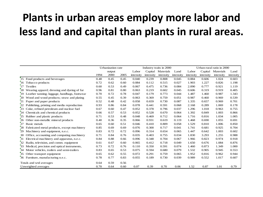### **Plants in urban areas employ more labor and less land and capital than plants in rural areas.**

|               |                                                             |      | Urbanization rate |      |           | Industry traits in 2000 |           |           |           | Urban-rural ratio in 2000 |           |           |  |
|---------------|-------------------------------------------------------------|------|-------------------|------|-----------|-------------------------|-----------|-----------|-----------|---------------------------|-----------|-----------|--|
|               |                                                             |      | output            |      | Labor     | Capital                 | Materials | Land      | Labor     | Capital                   | Materials | Land      |  |
|               |                                                             | 1994 | 2000              | 2005 | intensity | intensity               | intensity | intensity | intensity | intensity                 | intensity | intensity |  |
|               | 15 Food products and beverages                              | 0.48 | 0.45              | 0.45 | 0.040     | 0.239                   | 0.808     | 0.045     | 0.884     | 0.606                     | 1.024     | 0.603     |  |
|               | 16 Tobacco products                                         | 0.72 | 0.62              | 0.60 | 0.084     | 0.112                   | 0.515     | 0.027     | 1.903     | 1.227                     | 0.826     | 1.198     |  |
|               | 17 Textiles                                                 | 0.60 | 0.53              | 0.49 | 0.067     | 0.475                   | 0.736     | 0.084     | 2.090     | 0.777                     | 0.921     | 1.119     |  |
|               | <sup>7</sup> 18 Wearing apparel; dressing and dyeing of fur | 0.96 | 0.81              | 0.80 | 0.063     | 0.219                   | 0.602     | 0.045     | 0.606     | 0.319                     | 0.919     | 0.405     |  |
| <sup>19</sup> | Leather tanning; luggage, handbags, footwear                | 0.70 | 0.72              | 0.78 | 0.047     | 0.179                   | 0.773     | 0.044     | 1.487     | 1.460                     | 0.987     | 1.343     |  |
|               | 20 Wood and wood products; straw and plating                | 0.55 | 0.45              | 0.39 | 0.063     | 0.369                   | 0.759     | 0.051     | 0.987     | 0.460                     | 0.969     | 0.539     |  |
| 21            | Paper and paper products                                    | 0.52 | 0.48              | 0.42 | 0.058     | 0.659                   | 0.730     | 0.087     | 1.335     | 0.657                     | 0.969     | 0.701     |  |
| 22            | Publishing, printing and media reproduction                 | 0.93 | 0.86              | 0.84 | 0.078     | 0.441                   | 0.591     | 0.068     | 2.168     | 0.289                     | 1.069     | 0.178     |  |
| 23            | Coke, refined petroleum and nuclear fuel                    | 0.67 | 0.60              | 0.47 | 0.052     | 0.378                   | 0.796     | 0.037     | 1.296     | 1.018                     | 0.963     | 0.755     |  |
| 24            | Chemicals and chemical products                             | 0.66 | 0.57              | 0.53 | 0.052     | 0.528                   | 0.670     | 0.064     | 1.392     | 0.849                     | 1.003     | 0.866     |  |
| 25            | Rubber and plastic products                                 | 0.71 | 0.53              | 0.48 | 0.048     | 0.469                   | 0.712     | 0.064     | 1.716     | 0.816                     | 1.034     | 1.005     |  |
|               | 26 Other non-metallic mineral products                      | 0.40 | 0.36              | 0.35 | 0.066     | 0.931                   | 0.619     | 0.119     | 1.468     | 0.690                     | 1.055     | 0.691     |  |
| 27            | Basic metals                                                | 0.65 | 0.60              | 0.51 | 0.046     | 0.410                   | 0.809     | 0.058     | 1.529     | 0.810                     | 1.006     | 0.850     |  |
| 28            | Fabricated metal products, except machinery                 | 0.85 | 0.69              | 0.69 | 0.076     | 0.300                   | 0.717     | 0.041     | 1.741     | 0.681                     | 0.925     | 0.704     |  |
| 29            | Machinery and equipment, n.e.c.                             | 0.83 | 0.72              | 0.72 | 0.096     | 0.314                   | 0.654     | 0.065     | 1.447     | 0.642                     | 1.003     | 0.602     |  |
|               | 30 Office, accounting and computing machinery               | 0.71 | 0.84              | 0.76 | 0.035     | 0.403                   | 0.755     | 0.034     | 1.830     | 3.293                     | 1.255     | 0.988     |  |
| 31            | Electrical machinery and apparatus, n.e.c.                  | 0.84 | 0.88              | 0.66 | 0.096     | 0.348                   | 0.704     | 0.067     | 1.966     | 0.823                     | 0.974     | 0.918     |  |
| 32            | Radio, television, and comm. equipment                      | 0.61 | 0.67              | 0.60 | 0.065     | 0.412                   | 0.718     | 0.049     | 1.650     | 0.676                     | 1.084     | 0.876     |  |
| 33            | Medical, precision and optical instruments,                 | 0.73 | 0.72              | 0.76 | 0.110     | 0.350                   | 0.591     | 0.074     | 1.460     | 0.873                     | 1.349     | 1.000     |  |
|               | 34 Motor vehicles, trailers and semi-trailers               | 0.83 | 0.65              | 0.53 | 0.075     | 0.594                   | 0.680     | 0.079     | 1.532     | 0.905                     | 0.945     | 0.553     |  |
| 35            | Other transport equipment                                   | 0.65 | 0.62              | 0.55 | 0.072     | 0.291                   | 0.759     | 0.065     | 1.952     | 0.816                     | 0.962     | 0.944     |  |
|               | 36 Furniture, manufacturing n.e.c.                          | 0.78 | 0.77              | 0.83 | 0.055     | 0.189                   | 0.730     | 0.039     | 0.989     | 0.552                     | 1.017     | 0.607     |  |
|               | Totals and wtd averages                                     | 0.64 | 0.59              | 0.56 |           |                         |           |           |           |                           |           |           |  |
|               | Unweighted averages                                         | 0.70 | 0.64              | 0.60 | 0.07      | 0.39                    | 0.70      | 0.06      | 1.52      | 0.87                      | 1.01      | 0.79      |  |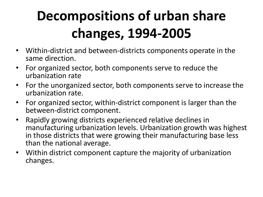# **Decompositions of urban share changes, 1994-2005**

- Within-district and between-districts components operate in the same direction.
- For organized sector, both components serve to reduce the urbanization rate
- For the unorganized sector, both components serve to increase the urbanization rate.
- For organized sector, within-district component is larger than the between-district component.
- Rapidly growing districts experienced relative declines in manufacturing urbanization levels. Urbanization growth was highest in those districts that were growing their manufacturing base less than the national average.
- Within district component capture the majority of urbanization changes.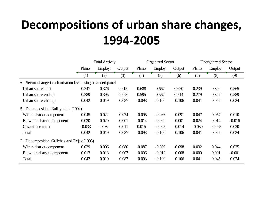## **Decompositions of urban share changes, 1994-2005**

|                                                             |                  | <b>Total Activity</b> |          |          | <b>Organized Sector</b> |          | <b>Unorganized Sector</b> |          |          |  |
|-------------------------------------------------------------|------------------|-----------------------|----------|----------|-------------------------|----------|---------------------------|----------|----------|--|
|                                                             | Plants           | Employ.               | Output   | Plants   | Employ.                 | Output   | Plants                    | Employ.  | Output   |  |
|                                                             | $\left(1\right)$ | (2)                   | (3)      | (4)      | (5)                     | (6)      | (7)                       | (8)      | (9)      |  |
| A. Sector change in urbanization level using balanced panel |                  |                       |          |          |                         |          |                           |          |          |  |
| Urban share start                                           | 0.247            | 0.376                 | 0.615    | 0.688    | 0.667                   | 0.620    | 0.239                     | 0.302    | 0.565    |  |
| Urban share ending                                          | 0.289            | 0.395                 | 0.528    | 0.595    | 0.567                   | 0.514    | 0.279                     | 0.347    | 0.589    |  |
| Urban share change                                          | 0.042            | 0.019                 | $-0.087$ | $-0.093$ | $-0.100$                | $-0.106$ | 0.041                     | 0.045    | 0.024    |  |
| B. Decomposition: Bailey et al. (1992)                      |                  |                       |          |          |                         |          |                           |          |          |  |
| Within-district component                                   | 0.045            | 0.022                 | $-0.074$ | $-0.095$ | $-0.086$                | $-0.091$ | 0.047                     | 0.057    | 0.010    |  |
| Between-district component                                  | 0.030            | 0.029                 | $-0.001$ | $-0.014$ | $-0.009$                | $-0.001$ | 0.024                     | 0.014    | $-0.016$ |  |
| Covariance term                                             | $-0.033$         | $-0.032$              | $-0.011$ | 0.015    | $-0.005$                | $-0.014$ | $-0.030$                  | $-0.025$ | 0.030    |  |
| Total                                                       | 0.042            | 0.019                 | $-0.087$ | $-0.093$ | $-0.100$                | $-0.106$ | 0.041                     | 0.045    | 0.024    |  |
| C. Decomposition: Griliches and Rejev (1995)                |                  |                       |          |          |                         |          |                           |          |          |  |
| Within-district component                                   | 0.029            | 0.006                 | $-0.080$ | $-0.087$ | $-0.089$                | $-0.098$ | 0.032                     | 0.044    | 0.025    |  |
| Between-district component                                  | 0.013            | 0.013                 | $-0.007$ | $-0.006$ | $-0.012$                | $-0.008$ | 0.009                     | 0.001    | $-0.001$ |  |
| Total                                                       | 0.042            | 0.019                 | $-0.087$ | $-0.093$ | $-0.100$                | $-0.106$ | 0.041                     | 0.045    | 0.024    |  |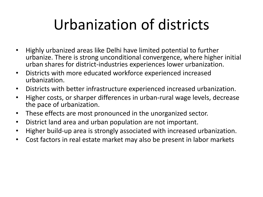# Urbanization of districts

- Highly urbanized areas like Delhi have limited potential to further urbanize. There is strong unconditional convergence, where higher initial urban shares for district-industries experiences lower urbanization.
- Districts with more educated workforce experienced increased urbanization.
- Districts with better infrastructure experienced increased urbanization.
- Higher costs, or sharper differences in urban-rural wage levels, decrease the pace of urbanization.
- These effects are most pronounced in the unorganized sector.
- District land area and urban population are not important.
- Higher build-up area is strongly associated with increased urbanization.
- Cost factors in real estate market may also be present in labor markets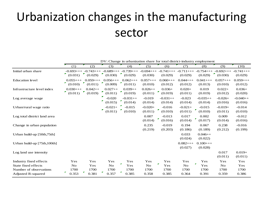## Urbanization changes in the manufacturing sector

|                              | DV: Change in urbanization share for total district-industry employment |                |                 |                  |              |            |                      |                      |            |            |
|------------------------------|-------------------------------------------------------------------------|----------------|-----------------|------------------|--------------|------------|----------------------|----------------------|------------|------------|
|                              | (1)                                                                     | (2)            | (3)             | (4)              | (5)          | (6)        | (7)                  | (8)                  | (9)        | (10)       |
| Initial urban share          | $-0.693++$                                                              | $-0.743++$     | $-0.689++$      | $-0.739++$       | $-0.694$ +++ | $-0.741++$ | $-0.711++$           | $-0.754$ +++         | $-0.692++$ | $-0.741++$ |
|                              | ₽.<br>(0.031)                                                           | (0.029)        | (0.030)         | (0.029)          | (0.030)      | (0.029)    | (0.029)              | (0.029)              | (0.030)    | (0.029)    |
| <b>Education</b> level       | $0.055++$                                                               | $0.059++$      | $0.056++$<br>₽. | $0.062++$<br>v.  | $0.057++$    | $0.060++$  | $0.044++$            | $0.041++$            | $0.057++$  | $0.059++$  |
|                              | (0.010)                                                                 | (0.011)        | (0.009)         | (0.011)          | (0.010)      | (0.012)    | (0.012)              | (0.013)              | (0.010)    | (0.012)    |
| Infrastructure level index   | $0.030++$<br>₽.                                                         | $0.042++$<br>Γ | $0.027++$<br>т. | $0.039++$<br>F.  | $0.026++$    | $0.036+$   | $0.020 +$            | 0.019                | $0.022+$   | $0.036+$   |
|                              | (0.011)                                                                 | (0.019)        | (0.011)         | (0.019)          | (0.011)      | (0.019)    | (0.011)              | (0.019)              | (0.012)    | (0.020)    |
| Log average wage             |                                                                         |                | $-0.020$<br>г   | $-0.031++$<br>F. | $-0.019$     | $-0.031++$ | $-0.023$             | $-0.035++$           | $-0.026+$  | $-0.040++$ |
|                              |                                                                         |                | (0.015)         | (0.014)          | (0.014)      | (0.014)    | (0.014)              | (0.014)              | (0.016)    | (0.016)    |
| Urban/rural wage ratio       |                                                                         |                | $-0.021+$<br>F. | $-0.015$         | $-0.020+$    | $-0.016$   | $-0.021+$            | $-0.015$             | $-0.019+$  | $-0.014$   |
|                              |                                                                         |                | (0.011)         | (0.010)          | (0.011)      | (0.010)    | (0.011)              | (0.010)              | (0.011)    | (0.010)    |
| Log total district land area |                                                                         |                |                 |                  | 0.007        | $-0.013$   | 0.017                | 0.002<br>×           | 0.009      | $-0.012$   |
|                              |                                                                         |                |                 |                  | (0.014)      | (0.016)    | (0.014)              | (0.017)              | (0.014)    | (0.016)    |
| Change in urban population   |                                                                         |                |                 |                  | 0.235        | $-0.019$   | 0.194                | 0.067                | 0.238      | $-0.016$   |
|                              |                                                                         |                |                 |                  | (0.219)      | (0.203)    | (0.186)              | (0.189)              | (0.212)    | (0.199)    |
| Urban build-up [50th,75th]   |                                                                         |                |                 |                  |              |            | 0.033<br>(0.024)     | $0.046++$            |            |            |
|                              |                                                                         |                |                 |                  |              |            |                      | (0.022)              |            |            |
| Urban build-up [75th,100th]  |                                                                         |                |                 |                  |              |            | $0.082++$<br>(0.027) | $0.100++$<br>(0.028) |            |            |
| Log land use intensity       |                                                                         |                |                 |                  |              |            |                      |                      | 0.017      | $0.019 +$  |
|                              |                                                                         |                |                 |                  |              |            |                      |                      | (0.011)    | (0.011)    |
| Industry fixed effects       | Yes                                                                     | Yes            | Yes             | Yes              | Yes          | Yes        | Yes                  | Yes                  | Yes        | Yes        |
| State fixed effects          | $\rm No$                                                                | Yes            | No              | r<br>Yes         | No           | Yes        | No                   | r<br>Yes             | No         | Yes        |
| Number of observations       | 1700                                                                    | 1700           | 1700            | 1700             | 1700         | 1700       | 1700                 | 1700                 | 1700       | 1700       |
| Adjusted R-squared           | ₽.<br>0.353                                                             | г<br>0.381     | ₽.<br>0.357     | 0.385            | 0.358        | 0.385      | 0.364                | 0.391                | 0.359      | 0.386      |

DV: Change in urbanization share for total district-industry employment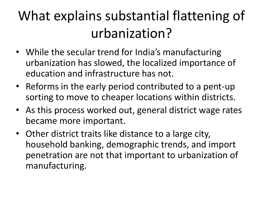## What explains substantial flattening of urbanization?

- While the secular trend for India's manufacturing urbanization has slowed, the localized importance of education and infrastructure has not.
- Reforms in the early period contributed to a pent-up sorting to move to cheaper locations within districts.
- As this process worked out, general district wage rates became more important.
- Other district traits like distance to a large city, household banking, demographic trends, and import penetration are not that important to urbanization of manufacturing.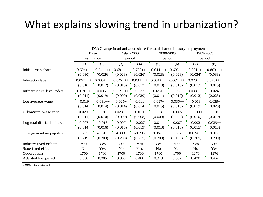### What explains slowing trend in urbanization?

|                                                                                     | DV: Change in urbanization share for total district-industry employment |                                                                |                                                                       |                                                                           |  |  |  |  |  |  |  |  |
|-------------------------------------------------------------------------------------|-------------------------------------------------------------------------|----------------------------------------------------------------|-----------------------------------------------------------------------|---------------------------------------------------------------------------|--|--|--|--|--|--|--|--|
|                                                                                     | Base                                                                    | 1994-2000                                                      | 2000-2005                                                             | 1989-2005                                                                 |  |  |  |  |  |  |  |  |
|                                                                                     | estimation                                                              | period                                                         | period                                                                | period                                                                    |  |  |  |  |  |  |  |  |
|                                                                                     | (2)<br>(1)                                                              | (3)<br>(4)                                                     | (5)<br>(6)                                                            | (8)<br>(7)                                                                |  |  |  |  |  |  |  |  |
| Initial urban share                                                                 | $-0.741++$<br>$-0.694$ +++<br>(0.030)<br>(0.029)                        | $-0.681+++$ $-0.728++$<br>(0.028)<br>(0.026)                   | $(0.028)$ $(0.028)$                                                   | $-0.644$ +++ $-0.695$ +++ $-0.801$ +++ $-0.869$ +++<br>(0.034)<br>(0.033) |  |  |  |  |  |  |  |  |
| <b>Education</b> level                                                              | $0.060++$<br>$0.057++$<br>(0.012)<br>(0.010)                            | $0.034++$<br>$0.042++$<br>$(0.010)$ $(0.012)$                  | $0.061++$<br>$0.067++$<br>$(0.010)$ $(0.013)$                         | $0.070++$<br>$0.073++$<br>(0.013)<br>(0.015)                              |  |  |  |  |  |  |  |  |
| Infrastructure level index                                                          | $0.036+$<br>$0.026++$<br>(0.019)<br>(0.011)                             | $0.029++$<br>0.032<br>(0.009)<br>(0.020)                       | 0.030<br>$0.025++$<br>F.<br>(0.019)<br>(0.011)                        | $0.033++$<br>0.024<br>(0.012)<br>(0.023)                                  |  |  |  |  |  |  |  |  |
| Log average wage                                                                    | $-0.019$<br>$-0.031++$<br>(0.014)<br>(0.014)                            | 0.011<br>$0.025+$<br>(0.014)<br>(0.014)                        | $-0.027+$<br>$-0.035++$<br>(0.015)<br>(0.016)                         | $-0.018$<br>$-0.039+$<br>(0.019)<br>(0.020)                               |  |  |  |  |  |  |  |  |
| Urban/rural wage ratio                                                              | $-0.020+$<br>$-0.016$<br>(0.010)<br>(0.011)                             | $-0.019++$<br>$-0.023++$<br>(0.009)<br>(0.008)                 | $-0.008$<br>$-0.005$<br>(0.009)<br>(0.009)                            | $-0.015$<br>$-0.021++$<br>(0.010)<br>(0.010)                              |  |  |  |  |  |  |  |  |
| Log total district land area                                                        | $-0.013$<br>0.007<br>(0.016)<br>(0.014)                                 | 0.007<br>$-0.027$<br>(0.015)<br>(0.019)                        | 0.011<br>$-0.007$<br>(0.013)<br>(0.016)                               | 0.002<br>$-0.039++$<br>(0.015)<br>(0.018)                                 |  |  |  |  |  |  |  |  |
| Change in urban population                                                          | $-0.019$<br>0.235<br>(0.219)<br>(0.203)                                 | $-0.080$<br>$-0.283$<br>(0.200)<br>(0.215)                     | 0.097<br>$0.367 +$<br>(0.200)<br>(0.183)                              | $0.624++$<br>0.317<br>(0.309)<br>(0.289)                                  |  |  |  |  |  |  |  |  |
| Industry fixed effects<br>State fixed effects<br>Observations<br>Adjusted R-squared | Yes<br>Yes<br>Yes<br>N <sub>o</sub><br>1700<br>1700<br>0.385<br>0.358   | Yes<br>Yes<br>г<br>Yes<br>No<br>1700<br>1700<br>0.369<br>0.400 | Yes<br>Yes<br>N <sub>o</sub><br>Yes<br>1700<br>1700<br>0.313<br>0.337 | Yes<br>Yes<br>N <sub>o</sub><br>Yes<br>1276<br>1276<br>0.430<br>0.462     |  |  |  |  |  |  |  |  |

Notes: See Table 5.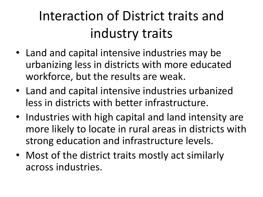## Interaction of District traits and industry traits

- Land and capital intensive industries may be urbanizing less in districts with more educated workforce, but the results are weak.
- Land and capital intensive industries urbanized less in districts with better infrastructure.
- Industries with high capital and land intensity are more likely to locate in rural areas in districts with strong education and infrastructure levels.
- Most of the district traits mostly act similarly across industries.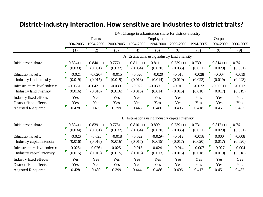#### **District-Industry Interaction. How sensitive are industries to district traits?**

|                                                                               | DV: Change in urbanization share for district-industry |                            |                            |                            |                             |                                                 |                            |                             |                            |  |
|-------------------------------------------------------------------------------|--------------------------------------------------------|----------------------------|----------------------------|----------------------------|-----------------------------|-------------------------------------------------|----------------------------|-----------------------------|----------------------------|--|
|                                                                               |                                                        | Plants                     |                            |                            | Employment                  |                                                 |                            | Output                      |                            |  |
|                                                                               | 1994-2005                                              | 1994-2000                  | 2000-2005                  | 1994-2005                  | 1994-2000                   | 2000-2005                                       | 1994-2005                  | 1994-2000                   | 2000-2005                  |  |
|                                                                               | (1)                                                    | (2)                        | (3)                        | (4)                        | (5)                         | (6)                                             | (7)                        | (8)                         | (9)                        |  |
|                                                                               | A. Estimations using industry land intensity           |                            |                            |                            |                             |                                                 |                            |                             |                            |  |
| Initial urban share                                                           | $-0.824$ +++<br>Г<br>(0.033)                           | $-0.840++$<br>(0.031)      | $-0.777+++$<br>(0.032)     | $-0.811++$<br>(0.034)      | $-0.811++$<br>(0.030)       | $-0.739++$<br>(0.035)                           | $-0.730++$<br>(0.031)      | $-0.814++$<br>(0.029)       | $-0.761++$<br>(0.031)      |  |
| Education level x<br>Industry land intensity                                  | Г<br>$-0.021$<br>Г<br>(0.019)                          | $-0.026+$<br>F.<br>(0.015) | $-0.015$<br>(0.019)        | ┏<br>$-0.026$<br>(0.018)   | Г<br>$-0.020$<br>(0.014)    | Г<br>$-0.018$<br>И<br>(0.019)                   | И<br>$-0.028$<br>(0.023)   | $-0.007$<br>(0.019)         | ▛<br>$-0.019$<br>(0.023)   |  |
| Infrastructure level index x<br>Industry land intensity                       | $-0.036++$<br>۳.<br>(0.016)                            | $-0.042++$<br>r<br>(0.016) | $-0.030+$<br>۳<br>(0.016)  | $-0.022$<br>(0.015)        | $-0.039++$<br>۳.<br>(0.014) | $-0.016$<br>(0.015)                             | И<br>$-0.022$<br>(0.018)   | $-0.035++$<br>₽.<br>(0.017) | $-0.012$<br>(0.019)        |  |
| Industry fixed effects<br>District fixed effects<br>Adjusted R-squared        | Yes<br>Yes<br>Г<br>0.428                               | Yes<br>Yes<br>Г<br>0.490   | Yes<br>Yes<br>0.399        | Yes<br>Yes<br>И<br>0.445   | Yes<br>Yes<br>Г<br>0.486    | Yes<br>Yes<br>F<br>0.406                        | Yes<br>Yes<br>И<br>0.418   | Yes<br>Yes<br>Г<br>0.451    | Yes<br>Yes<br>0.433        |  |
|                                                                               |                                                        |                            |                            |                            |                             | B. Estimations using industry capital intensity |                            |                             |                            |  |
| Initial urban share                                                           | $-0.824$ +++<br>F.<br>(0.034)                          | $-0.839++$<br>(0.031)      | $-0.776++$<br>Г<br>(0.032) | $-0.810++$<br>₹<br>(0.034) | $-0.809++$<br>(0.030)       | $-0.739++$<br>₽<br>(0.035)                      | $-0.731++$<br>┏<br>(0.031) | $-0.817++$<br>Г<br>(0.029)  | $-0.761++$<br>▼<br>(0.031) |  |
| Education level x<br>Industry capital intensity                               | $-0.026$<br>(0.016)                                    | $-0.025$<br>(0.016)        | $-0.018$<br>(0.016)        | $-0.022$<br>(0.017)        | $-0.029+$<br>(0.015)        | $-0.012$<br>(0.017)                             | $-0.016$<br>(0.020)        | 0.000<br>(0.017)            | $-0.008$<br>(0.020)        |  |
| Infrastructure level index x<br>Industry capital intensity                    | $-0.025+$<br>F.<br>(0.015)                             | $-0.026+$<br>г<br>(0.015)  | $-0.025+$<br>Г<br>(0.015)  | $-0.015$<br>(0.015)        | $-0.024+$<br>(0.013)        | $-0.014$<br>(0.015)                             | $-0.007$<br>(0.018)        | $-0.027$<br>(0.019)         | $-0.004$<br>(0.018)        |  |
| Industry fixed effects<br>District fixed effects<br><b>Adjusted R-squared</b> | Yes<br>Yes<br>г.<br>0.428                              | Yes<br>Yes<br>F<br>0.489   | Yes<br>Yes<br>Г<br>0.399   | Yes<br>Yes<br>F<br>0.444   | Yes<br>Yes<br>Г<br>0.486    | Yes<br>Yes<br>F<br>0.406                        | Yes<br>Yes<br>Г<br>0.417   | Yes<br>Yes<br>F<br>0.451    | Yes<br>Yes<br>Τ<br>0.432   |  |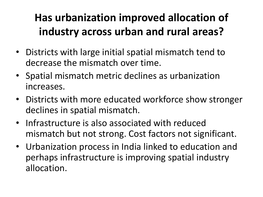## **Has urbanization improved allocation of industry across urban and rural areas?**

- Districts with large initial spatial mismatch tend to decrease the mismatch over time.
- Spatial mismatch metric declines as urbanization increases.
- Districts with more educated workforce show stronger declines in spatial mismatch.
- Infrastructure is also associated with reduced mismatch but not strong. Cost factors not significant.
- Urbanization process in India linked to education and perhaps infrastructure is improving spatial industry allocation.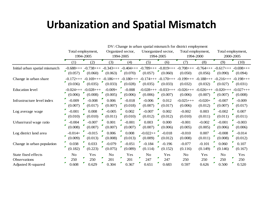### **Urbanization and Spatial Mismatch**

|                                                           | DV: Change in urban spatial mismatch for district employment |                       |                         |                          |                                                                                          |                     |                       |                         |                                                   |                          |  |
|-----------------------------------------------------------|--------------------------------------------------------------|-----------------------|-------------------------|--------------------------|------------------------------------------------------------------------------------------|---------------------|-----------------------|-------------------------|---------------------------------------------------|--------------------------|--|
|                                                           | Total employment,                                            |                       |                         | Organized sector,        | Unorganized sector,                                                                      |                     | Total employment,     |                         |                                                   | Total employment,        |  |
|                                                           | 1994-2005                                                    |                       |                         | 1994-2005                |                                                                                          | 1994-2005           |                       | 1994-2000               |                                                   | 2000-2005                |  |
|                                                           | (1)                                                          | (2)                   | (3)                     | (4)                      | (5)                                                                                      | (6)                 | (7)                   | (8)                     | (9)                                               | (10)                     |  |
| Initial urban spatial mismatch                            | $-0.688++$<br>(0.057)                                        | $-0.738++$<br>(0.060) | $-0.343++$<br>(0.063)   | $-0.404$ +++<br>(0.070)  | $-0.789$ +++ $-0.819$ +++<br>(0.057)                                                     | (0.060)             | $-0.708++$<br>(0.050) | $-0.764$ +++<br>(0.056) | $-0.617++$<br>(0.090)                             | $-0.698++$<br>(0.094)    |  |
| Change in urban share                                     | (0.036)                                                      | (0.035)               | (0.033)                 | (0.028)                  | $-0.172$ +++ $-0.169$ +++ $-0.186$ +++ $-0.180$ +++ $-0.174$ +++ $-0.170$ +++<br>(0.035) | (0.033)             | $0.199++$<br>(0.032)  | (0.032)                 | $-0.188$ +++ $-0.216$ +++ $-0.198$ +++<br>(0.027) | (0.031)                  |  |
| <b>Education</b> level                                    | $-0.024$ +++<br>(0.006)                                      | $-0.028++$<br>(0.008) | $-0.009 +$<br>(0.005)   | $-0.008$<br>(0.006)      | $-0.028+++$ $-0.033+++$<br>(0.006)                                                       | (0.007)             | $-0.026++$<br>(0.006) | $-0.026++$<br>(0.007)   | $-0.020++$<br>(0.007)                             | $-0.027++$<br>(0.008)    |  |
| Infrastructure level index                                | $-0.009$<br>(0.007)                                          | $-0.008$<br>(0.017)   | 0.006<br>(0.007)        | $-0.018$<br>(0.018)      | $-0.006$<br>(0.007)                                                                      | 0.012<br>(0.017)    | $-0.025++$<br>(0.006) | $-0.020+$<br>(0.012)    | $-0.007$<br>(0.007)                               | $-0.009$<br>(0.017)      |  |
| Log average wage                                          | $-0.001$<br>(0.010)                                          | 0.008<br>(0.010)      | $-0.005$<br>(0.011)     | 0.002<br>(0.010)         | $-0.007$<br>(0.012)                                                                      | 0.002<br>(0.012)    | $-0.002$<br>(0.010)   | 0.003<br>(0.011)        | $-0.002$<br>(0.011)                               | 0.007<br>(0.011)         |  |
| Urban/rural wage ratio                                    | $-0.004$<br>(0.008)                                          | $-0.007$<br>(0.007)   | 0.001<br>(0.007)        | $-0.001$<br>(0.007)      | 0.003<br>(0.007)                                                                         | 0.000<br>(0.006)    | $-0.001$<br>(0.005)   | $-0.002$<br>(0.005)     | $-0.001$<br>(0.006)                               | $-0.003$<br>(0.006)      |  |
| Log district land area                                    | $-0.014+$<br>(0.009)                                         | $-0.015$<br>(0.013)   | 0.006<br>(0.008)        | 0.008<br>(0.013)         | $-0.022++$<br>(0.009)                                                                    | $-0.018$<br>(0.012) | $-0.010$<br>(0.008)   | 0.007<br>(0.011)        | $-0.008$<br>(0.008)                               | $-0.014$<br>(0.012)      |  |
| Change in urban population                                | 0.038<br>(0.182)                                             | 0.033<br>(0.223)      | $-0.079$<br>(0.075)     | $-0.051$<br>(0.089)      | $-0.184$<br>(0.114)                                                                      | $-0.196$<br>(0.152) | $-0.077$<br>(0.116)   | $-0.101$<br>(0.149)     | 0.060<br>(0.146)                                  | 0.107<br>(0.167)         |  |
| State fixed effects<br>Observations<br>Adjusted R-squared | No<br>250<br>0.608                                           | Yes<br>250<br>0.629   | No<br>Г<br>201<br>0.304 | Yes<br>И<br>201<br>0.367 | No<br>F<br>247<br>0.651                                                                  | Yes<br>247<br>0.683 | No<br>250<br>0.597    | Yes<br>250<br>0.626     | No<br>Р<br>250<br>0.500                           | Yes<br>г<br>250<br>0.520 |  |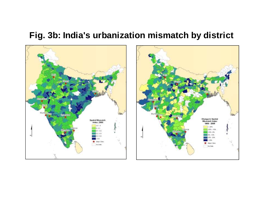### **Fig. 3b: India's urbanization mismatch by district**